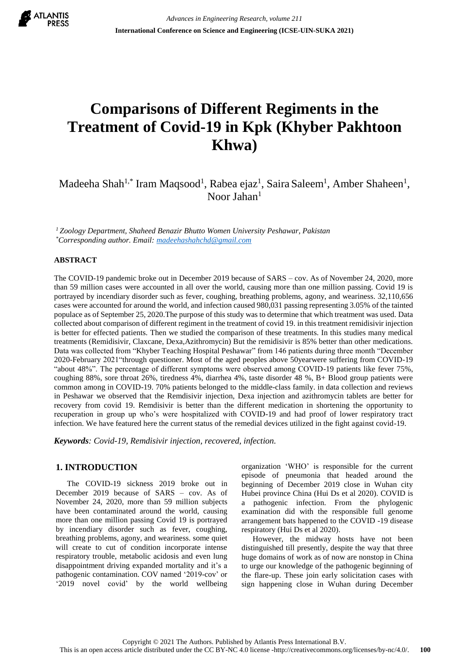

# **Comparisons of Different Regiments in the Treatment of Covid-19 in Kpk (Khyber Pakhtoon Khwa)**

Madeeha Shah<sup>1,\*</sup> Iram Maqsood<sup>1</sup>, Rabea ejaz<sup>1</sup>, Saira Saleem<sup>1</sup>, Amber Shaheen<sup>1</sup>, Noor Jahan<sup>1</sup>

*<sup>1</sup>Zoology Department, Shaheed Benazir Bhutto Women University Peshawar, Pakistan \*Corresponding author. Email[: madeehashahchd@gmail.com](mailto:madeehashahchd@gmail.com)*

## **ABSTRACT**

The COVID-19 pandemic broke out in December 2019 because of SARS – cov. As of November 24, 2020, more than 59 million cases were accounted in all over the world, causing more than one million passing. Covid 19 is portrayed by incendiary disorder such as fever, coughing, breathing problems, agony, and weariness. 32,110,656 cases were accounted for around the world, and infection caused 980,031 passing representing 3.05% of the tainted populace as of September 25, 2020.The purpose of this study was to determine that which treatment was used. Data collected about comparison of different regiment in the treatment of covid 19. in this treatment remidisivir injection is better for effected patients. Then we studied the comparison of these treatments. In this studies many medical treatments (Remidisivir, Claxcane, Dexa,Azithromycin) But the remidisivir is 85% better than other medications. Data was collected from "Khyber Teaching Hospital Peshawar" from 146 patients during three month "December 2020-February 2021"through questioner. Most of the aged peoples above 50yearwere suffering from COVID-19 "about 48%". The percentage of different symptoms were observed among COVID-19 patients like fever 75%, coughing 88%, sore throat 26%, tiredness 4%, diarrhea 4%, taste disorder 48 %, B+ Blood group patients were common among in COVID-19. 70% patients belonged to the middle-class family. in data collection and reviews in Peshawar we observed that the Remdisivir injection, Dexa injection and azithromycin tablets are better for recovery from covid 19. Remdisivir is better than the different medication in shortening the opportunity to recuperation in group up who's were hospitalized with COVID-19 and had proof of lower respiratory tract infection. We have featured here the current status of the remedial devices utilized in the fight against covid-19.

*Keywords: Covid-19, Remdisivir injection, recovered, infection.*

# **1. INTRODUCTION**

The COVID-19 sickness 2019 broke out in December 2019 because of SARS – cov. As of November 24, 2020, more than 59 million subjects have been contaminated around the world, causing more than one million passing Covid 19 is portrayed by incendiary disorder such as fever, coughing, breathing problems, agony, and weariness. some quiet will create to cut of condition incorporate intense respiratory trouble, metabolic acidosis and even lung disappointment driving expanded mortality and it's a pathogenic contamination. COV named '2019-cov' or '2019 novel covid' by the world wellbeing organization 'WHO' is responsible for the current episode of pneumonia that headed around the beginning of December 2019 close in Wuhan city Hubei province China (Hui Ds et al 2020). COVID is a pathogenic infection. From the phylogenic examination did with the responsible full genome arrangement bats happened to the COVID -19 disease respiratory (Hui Ds et al 2020).

However, the midway hosts have not been distinguished till presently, despite the way that three huge domains of work as of now are nonstop in China to urge our knowledge of the pathogenic beginning of the flare-up. These join early solicitation cases with sign happening close in Wuhan during December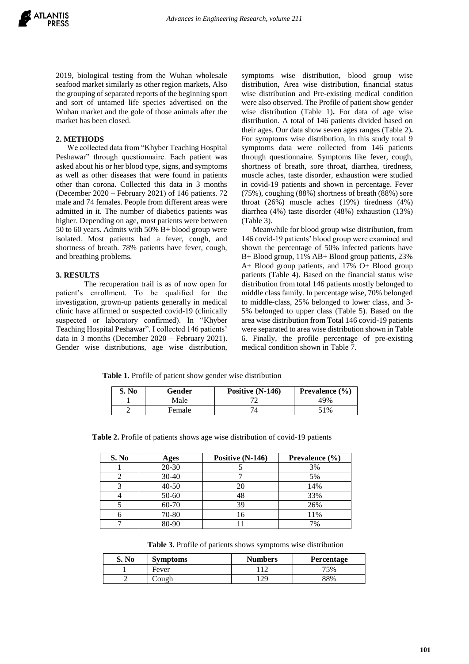

2019, biological testing from the Wuhan wholesale seafood market similarly as other region markets, Also the grouping of separated reports of the beginning sport and sort of untamed life species advertised on the Wuhan market and the gole of those animals after the market has been closed.

#### **2. METHODS**

We collected data from "Khyber Teaching Hospital Peshawar" through questionnaire. Each patient was asked about his or her blood type, signs, and symptoms as well as other diseases that were found in patients other than corona. Collected this data in 3 months (December 2020 – February 2021) of 146 patients. 72 male and 74 females. People from different areas were admitted in it. The number of diabetics patients was higher. Depending on age, most patients were between 50 to 60 years. Admits with 50% B+ blood group were isolated. Most patients had a fever, cough, and shortness of breath. 78% patients have fever, cough, and breathing problems.

## **3. RESULTS**

The recuperation trail is as of now open for patient's enrollment. To be qualified for the investigation, grown-up patients generally in medical clinic have affirmed or suspected covid-19 (clinically suspected or laboratory confirmed). In "Khyber Teaching Hospital Peshawar". I collected 146 patients' data in 3 months (December 2020 – February 2021). Gender wise distributions, age wise distribution, symptoms wise distribution, blood group wise distribution, Area wise distribution, financial status wise distribution and Pre-existing medical condition were also observed. The Profile of patient show gender wise distribution (Table 1)**.** For data of age wise distribution. A total of 146 patients divided based on their ages. Our data show seven ages ranges (Table 2)**.** For symptoms wise distribution, in this study total 9 symptoms data were collected from 146 patients through questionnaire. Symptoms like fever, cough, shortness of breath, sore throat, diarrhea, tiredness, muscle aches, taste disorder, exhaustion were studied in covid-19 patients and shown in percentage. Fever (75%), coughing (88%) shortness of breath (88%) sore throat (26%) muscle aches (19%) tiredness (4%) diarrhea (4%) taste disorder (48%) exhaustion (13%) (Table 3).

Meanwhile for blood group wise distribution, from 146 covid-19 patients' blood group were examined and shown the percentage of 50% infected patients have B+ Blood group, 11% AB+ Blood group patients, 23% A+ Blood group patients, and 17% O+ Blood group patients (Table 4). Based on the financial status wise distribution from total 146 patients mostly belonged to middle class family. In percentage wise, 70% belonged to middle-class, 25% belonged to lower class, and 3- 5% belonged to upper class (Table 5). Based on the area wise distribution from Total 146 covid-19 patients were separated to area wise distribution shown in Table 6. Finally, the profile percentage of pre-existing medical condition shown in Table 7.

**Table 1.** Profile of patient show gender wise distribution

| S. No | Gender | Positive (N-146) | <b>Prevalence</b> $(\% )$ |
|-------|--------|------------------|---------------------------|
|       | Male   |                  | 49%                       |
|       | Female |                  | 51%                       |

 **Table 2.** Profile of patients shows age wise distribution of covid-19 patients

| S. No | Ages      | Positive (N-146) | Prevalence $(\% )$ |
|-------|-----------|------------------|--------------------|
|       | 20-30     |                  | 3%                 |
|       | $30 - 40$ |                  | 5%                 |
|       | $40 - 50$ | 20               | 14%                |
|       | 50-60     | 48               | 33%                |
|       | 60-70     | 39               | 26%                |
|       | 70-80     | 16               | 11%                |
|       | 80-90     |                  | 7%                 |

**Table 3.** Profile of patients shows symptoms wise distribution

| S. No | <b>Symptoms</b> | <b>Numbers</b> | Percentage |
|-------|-----------------|----------------|------------|
|       | Fever           |                | 75%        |
|       | ough:           | ാവ             | 88%        |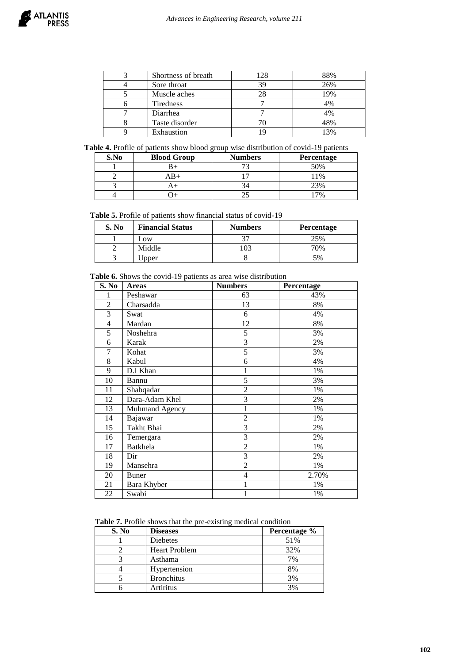| 2 | Shortness of breath | 128 | 88% |
|---|---------------------|-----|-----|
|   | Sore throat         | 39  | 26% |
|   | Muscle aches        |     | 19% |
|   | Tiredness           |     | 4%  |
|   | Diarrhea            |     | 4%  |
|   | Taste disorder      |     | 48% |
|   | Exhaustion          |     | 3%  |

**Table 4.** Profile of patients show blood group wise distribution of covid-19 patients

| S.No | <b>Blood Group</b> | <b>Numbers</b> | Percentage |
|------|--------------------|----------------|------------|
|      |                    |                | 50%        |
|      |                    |                | 11%        |
|      |                    |                | 23%        |
|      |                    |                | 70/        |

 **Table 5.** Profile of patients show financial status of covid-19

| S. No | <b>Financial Status</b> | <b>Numbers</b> | <b>Percentage</b> |
|-------|-------------------------|----------------|-------------------|
|       | .0W                     | 27             | 25%               |
|       | Middle                  |                | 70%               |
|       | Jpper                   |                | 5%                |

 **Table 6.** Shows the covid-19 patients as area wise distribution

| S. No          | <b>Areas</b>   | <b>Numbers</b> | Percentage |
|----------------|----------------|----------------|------------|
| 1              | Peshawar       | 63             | 43%        |
| $\overline{2}$ | Charsadda      | 13             | 8%         |
| 3              | Swat           | 6              | 4%         |
| 4              | Mardan         | 12             | 8%         |
| 5              | Noshehra       | 5              | 3%         |
| 6              | Karak          | 3              | 2%         |
| 7              | Kohat          | 5              | 3%         |
| 8              | Kabul          | 6              | 4%         |
| 9              | D.I Khan       | 1              | 1%         |
| 10             | Bannu          | 5              | 3%         |
| 11             | Shabqadar      | $\overline{2}$ | 1%         |
| 12             | Dara-Adam Khel | 3              | 2%         |
| 13             | Muhmand Agency | 1              | 1%         |
| 14             | Bajawar        | $\overline{2}$ | 1%         |
| 15             | Takht Bhai     | 3              | 2%         |
| 16             | Temergara      | 3              | 2%         |
| 17             | Batkhela       | $\overline{c}$ | 1%         |
| 18             | Dir            | 3              | 2%         |
| 19             | Mansehra       | $\overline{2}$ | 1%         |
| 20             | Buner          | $\overline{4}$ | 2.70%      |
| 21             | Bara Khyber    |                | 1%         |
| 22             | Swabi          |                | 1%         |

**Table 7.** Profile shows that the pre-existing medical condition

| S. No | <b>Diseases</b>      | Percentage % |
|-------|----------------------|--------------|
|       | <b>Diebetes</b>      | 51%          |
|       | <b>Heart Problem</b> | 32%          |
|       | Asthama              | 7%           |
|       | Hypertension         | 8%           |
|       | <b>Bronchitus</b>    | 3%           |
|       | Artiritus            | 3%           |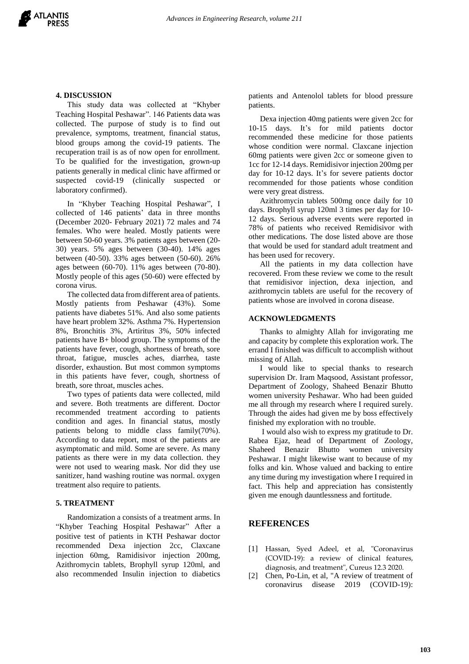#### **4. DISCUSSION**

This study data was collected at "Khyber Teaching Hospital Peshawar". 146 Patients data was collected. The purpose of study is to find out prevalence, symptoms, treatment, financial status, blood groups among the covid-19 patients. The recuperation trail is as of now open for enrollment. To be qualified for the investigation, grown-up patients generally in medical clinic have affirmed or suspected covid-19 (clinically suspected or laboratory confirmed).

In "Khyber Teaching Hospital Peshawar", I collected of 146 patients' data in three months (December 2020- February 2021) 72 males and 74 females. Who were healed. Mostly patients were between 50-60 years. 3% patients ages between (20- 30) years. 5% ages between (30-40). 14% ages between (40-50). 33% ages between (50-60). 26% ages between (60-70). 11% ages between (70-80). Mostly people of this ages (50-60) were effected by corona virus.

The collected data from different area of patients. Mostly patients from Peshawar (43%). Some patients have diabetes 51%. And also some patients have heart problem 32%. Asthma 7%. Hypertension 8%, Bronchitis 3%, Artiritus 3%, 50% infected patients have B+ blood group. The symptoms of the patients have fever, cough, shortness of breath, sore throat, fatigue, muscles aches, diarrhea, taste disorder, exhaustion. But most common symptoms in this patients have fever, cough, shortness of breath, sore throat, muscles aches.

Two types of patients data were collected, mild and severe. Both treatments are different. Doctor recommended treatment according to patients condition and ages. In financial status, mostly patients belong to middle class family(70%). According to data report, most of the patients are asymptomatic and mild. Some are severe. As many patients as there were in my data collection. they were not used to wearing mask. Nor did they use sanitizer, hand washing routine was normal. oxygen treatment also require to patients.

## **5. TREATMENT**

Randomization a consists of a treatment arms. In "Khyber Teaching Hospital Peshawar" After a positive test of patients in KTH Peshawar doctor recommended Dexa injection 2cc, Claxcane injection 60mg, Ramidisivor injection 200mg, Azithromycin tablets, Brophyll syrup 120ml, and also recommended Insulin injection to diabetics

patients and Antenolol tablets for blood pressure patients.

Dexa injection 40mg patients were given 2cc for 10-15 days. It's for mild patients doctor recommended these medicine for those patients whose condition were normal. Claxcane injection 60mg patients were given 2cc or someone given to 1cc for 12-14 days. Remidisivor injection 200mg per day for 10-12 days. It's for severe patients doctor recommended for those patients whose condition were very great distress.

Azithromycin tablets 500mg once daily for 10 days. Brophyll syrup 120ml 3 times per day for 10- 12 days. Serious adverse events were reported in 78% of patients who received Remidisivor with other medications. The dose listed above are those that would be used for standard adult treatment and has been used for recovery.

All the patients in my data collection have recovered. From these review we come to the result that remidisivor injection, dexa injection, and azithromycin tablets are useful for the recovery of patients whose are involved in corona disease.

#### **ACKNOWLEDGMENTS**

Thanks to almighty Allah for invigorating me and capacity by complete this exploration work. The errand I finished was difficult to accomplish without missing of Allah.

I would like to special thanks to research supervision Dr. Iram Maqsood, Assistant professor, Department of Zoology, Shaheed Benazir Bhutto women university Peshawar. Who had been guided me all through my research where I required surely. Through the aides had given me by boss effectively finished my exploration with no trouble.

I would also wish to express my gratitude to Dr. Rabea Ejaz, head of Department of Zoology, Shaheed Benazir Bhutto women university Peshawar. I might likewise want to because of my folks and kin. Whose valued and backing to entire any time during my investigation where I required in fact. This help and appreciation has consistently given me enough dauntlessness and fortitude.

## **REFERENCES**

- [1] Hassan, Syed Adeel, et al, "Coronavirus (COVID-19): a review of clinical features, diagnosis, and treatment", Cureus 12.3 2020.
- [2] Chen, Po-Lin, et al, "A review of treatment of coronavirus disease 2019 (COVID-19):